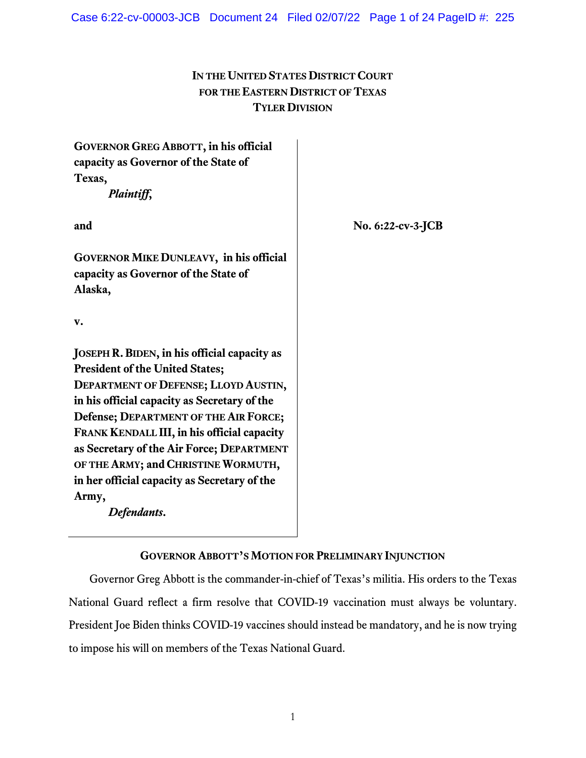# **IN THE UNITED STATES DISTRICT COURT FOR THE EASTERN DISTRICT OF TEXAS TYLER DIVISION**

| <b>GOVERNOR GREG ABBOTT, in his official</b><br>capacity as Governor of the State of<br>Texas,<br>Plaintiff,                                                                                                                                                                                                                                                                                                                       |                      |
|------------------------------------------------------------------------------------------------------------------------------------------------------------------------------------------------------------------------------------------------------------------------------------------------------------------------------------------------------------------------------------------------------------------------------------|----------------------|
| and                                                                                                                                                                                                                                                                                                                                                                                                                                | No. $6:22$ -cv-3-JCB |
| <b>GOVERNOR MIKE DUNLEAVY, in his official</b><br>capacity as Governor of the State of<br>Alaska,                                                                                                                                                                                                                                                                                                                                  |                      |
| v.                                                                                                                                                                                                                                                                                                                                                                                                                                 |                      |
| JOSEPH R. BIDEN, in his official capacity as<br><b>President of the United States;</b><br>DEPARTMENT OF DEFENSE; LLOYD AUSTIN,<br>in his official capacity as Secretary of the<br>Defense; DEPARTMENT OF THE AIR FORCE;<br>FRANK KENDALL III, in his official capacity<br>as Secretary of the Air Force; DEPARTMENT<br>OF THE ARMY; and CHRISTINE WORMUTH,<br>in her official capacity as Secretary of the<br>Army,<br>Defendants. |                      |

# **GOVERNOR ABBOTT'S MOTION FOR PRELIMINARY INJUNCTION**

Governor Greg Abbott is the commander-in-chief of Texas's militia. His orders to the Texas National Guard reflect a firm resolve that COVID-19 vaccination must always be voluntary. President Joe Biden thinks COVID-19 vaccines should instead be mandatory, and he is now trying to impose his will on members of the Texas National Guard.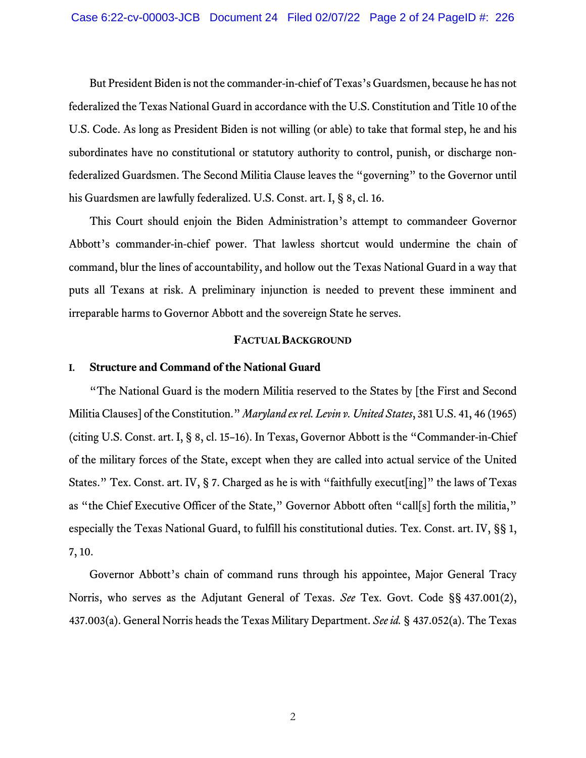But President Biden is not the commander-in-chief of Texas's Guardsmen, because he has not federalized the Texas National Guard in accordance with the U.S. Constitution and Title 10 of the U.S. Code. As long as President Biden is not willing (or able) to take that formal step, he and his subordinates have no constitutional or statutory authority to control, punish, or discharge nonfederalized Guardsmen. The Second Militia Clause leaves the "governing" to the Governor until his Guardsmen are lawfully federalized. U.S. Const. art. I, § 8, cl. 16.

This Court should enjoin the Biden Administration's attempt to commandeer Governor Abbott's commander-in-chief power. That lawless shortcut would undermine the chain of command, blur the lines of accountability, and hollow out the Texas National Guard in a way that puts all Texans at risk. A preliminary injunction is needed to prevent these imminent and irreparable harms to Governor Abbott and the sovereign State he serves.

### **FACTUAL BACKGROUND**

#### **I. Structure and Command of the National Guard**

"The National Guard is the modern Militia reserved to the States by [the First and Second Militia Clauses] of the Constitution." *Maryland ex rel. Levin v. United States*, 381 U.S. 41, 46 (1965) (citing U.S. Const. art. I, § 8, cl. 15–16). In Texas, Governor Abbott is the "Commander-in-Chief of the military forces of the State, except when they are called into actual service of the United States." Tex. Const. art. IV, § 7. Charged as he is with "faithfully execut[ing]" the laws of Texas as "the Chief Executive Officer of the State," Governor Abbott often "call[s] forth the militia," especially the Texas National Guard, to fulfill his constitutional duties. Tex. Const. art. IV, §§ 1, 7, 10.

Governor Abbott's chain of command runs through his appointee, Major General Tracy Norris, who serves as the Adjutant General of Texas. *See* Tex. Govt. Code §§ 437.001(2), 437.003(a). General Norris heads the Texas Military Department. *See id.* § 437.052(a). The Texas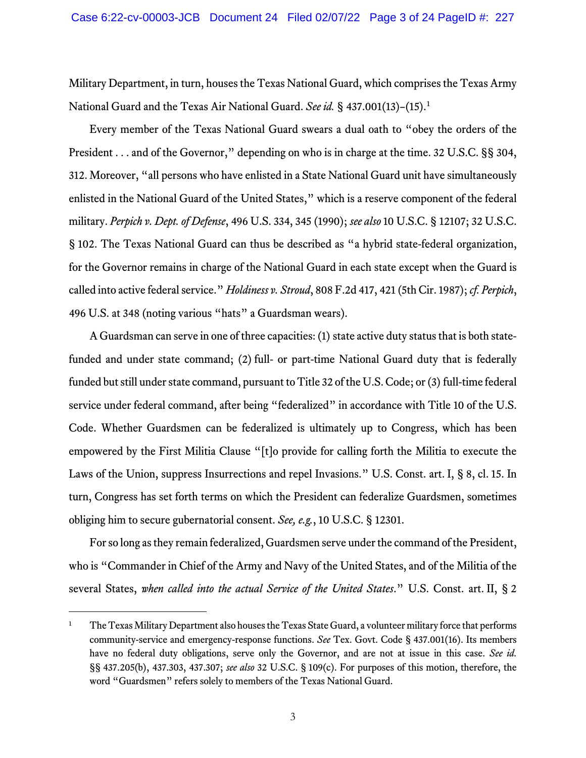Military Department, in turn, houses the Texas National Guard, which comprises the Texas Army National Guard and the Texas Air National Guard. *See id.* § 437.001(13)–(15).[1](#page-2-0)

Every member of the Texas National Guard swears a dual oath to "obey the orders of the President . . . and of the Governor," depending on who is in charge at the time. 32 U.S.C. §§ 304, 312. Moreover, "all persons who have enlisted in a State National Guard unit have simultaneously enlisted in the National Guard of the United States," which is a reserve component of the federal military. *Perpich v. Dept. of Defense*, 496 U.S. 334, 345 (1990); *see also* 10 U.S.C. § 12107; 32 U.S.C. § 102. The Texas National Guard can thus be described as "a hybrid state-federal organization, for the Governor remains in charge of the National Guard in each state except when the Guard is called into active federal service." *Holdiness v. Stroud*, 808 F.2d 417, 421 (5th Cir. 1987); *cf. Perpich*, 496 U.S. at 348 (noting various "hats" a Guardsman wears).

A Guardsman can serve in one of three capacities: (1) state active duty status that is both statefunded and under state command; (2) full- or part-time National Guard duty that is federally funded but still under state command, pursuant to Title 32 of the U.S. Code; or (3) full-time federal service under federal command, after being "federalized" in accordance with Title 10 of the U.S. Code. Whether Guardsmen can be federalized is ultimately up to Congress, which has been empowered by the First Militia Clause "[t]o provide for calling forth the Militia to execute the Laws of the Union, suppress Insurrections and repel Invasions." U.S. Const. art. I, § 8, cl. 15. In turn, Congress has set forth terms on which the President can federalize Guardsmen, sometimes obliging him to secure gubernatorial consent. *See, e.g.*, 10 U.S.C. § 12301.

For so long as they remain federalized, Guardsmen serve under the command of the President, who is "Commander in Chief of the Army and Navy of the United States, and of the Militia of the several States, *when called into the actual Service of the United States*." U.S. Const. art. II, § 2

<span id="page-2-0"></span><sup>&</sup>lt;sup>1</sup> The Texas Military Department also houses the Texas State Guard, a volunteer military force that performs community-service and emergency-response functions. *See* Tex. Govt. Code § 437.001(16). Its members have no federal duty obligations, serve only the Governor, and are not at issue in this case. *See id.* §§ 437.205(b), 437.303, 437.307; *see also* 32 U.S.C. § 109(c). For purposes of this motion, therefore, the word "Guardsmen" refers solely to members of the Texas National Guard.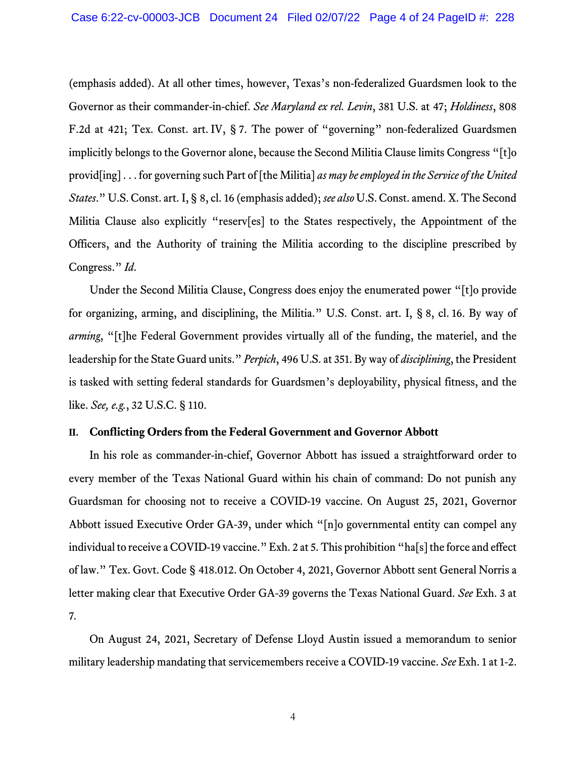(emphasis added). At all other times, however, Texas's non-federalized Guardsmen look to the Governor as their commander-in-chief. *See Maryland ex rel. Levin*, 381 U.S. at 47; *Holdiness*, 808 F.2d at 421; Tex. Const. art. IV, § 7. The power of "governing" non-federalized Guardsmen implicitly belongs to the Governor alone, because the Second Militia Clause limits Congress "[t]o provid[ing] . . . for governing such Part of [the Militia] *as may be employed in the Service of the United States*." U.S. Const. art. I, § 8, cl. 16 (emphasis added); *see also* U.S. Const. amend. X. The Second Militia Clause also explicitly "reserv[es] to the States respectively, the Appointment of the Officers, and the Authority of training the Militia according to the discipline prescribed by Congress." *Id*.

Under the Second Militia Clause, Congress does enjoy the enumerated power "[t]o provide for organizing, arming, and disciplining, the Militia." U.S. Const. art. I, § 8, cl. 16. By way of *arming*, "[t]he Federal Government provides virtually all of the funding, the materiel, and the leadership for the State Guard units." *Perpich*, 496 U.S. at 351. By way of *disciplining*, the President is tasked with setting federal standards for Guardsmen's deployability, physical fitness, and the like. *See, e.g.*, 32 U.S.C. § 110.

### **II. Conflicting Orders from the Federal Government and Governor Abbott**

In his role as commander-in-chief, Governor Abbott has issued a straightforward order to every member of the Texas National Guard within his chain of command: Do not punish any Guardsman for choosing not to receive a COVID-19 vaccine. On August 25, 2021, Governor Abbott issued Executive Order GA-39, under which "[n]o governmental entity can compel any individual to receive a COVID-19 vaccine." Exh. 2 at 5. This prohibition "ha[s] the force and effect of law." Tex. Govt. Code § 418.012. On October 4, 2021, Governor Abbott sent General Norris a letter making clear that Executive Order GA-39 governs the Texas National Guard. *See* Exh. 3 at 7*.*

On August 24, 2021, Secretary of Defense Lloyd Austin issued a memorandum to senior military leadership mandating that servicemembers receive a COVID-19 vaccine. *See* Exh. 1 at 1-2.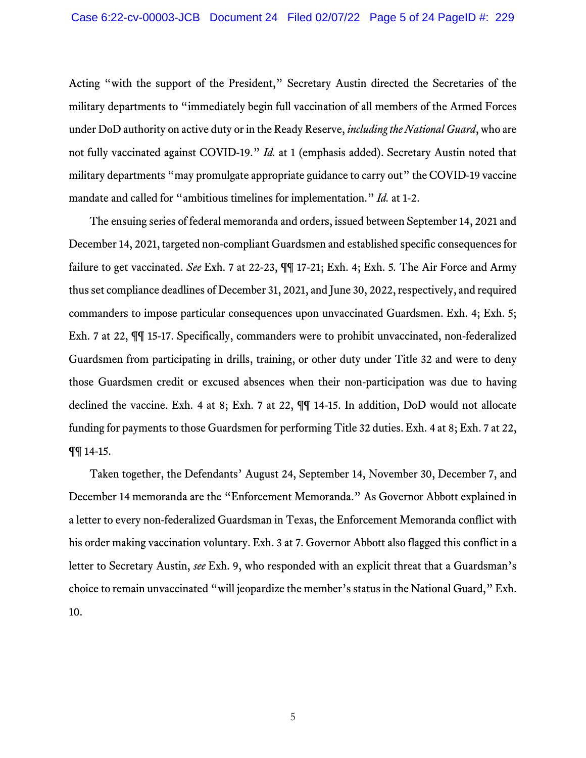Acting "with the support of the President," Secretary Austin directed the Secretaries of the military departments to "immediately begin full vaccination of all members of the Armed Forces under DoD authority on active duty or in the Ready Reserve, *including the National Guard*, who are not fully vaccinated against COVID-19." *Id.* at 1 (emphasis added). Secretary Austin noted that military departments "may promulgate appropriate guidance to carry out" the COVID-19 vaccine mandate and called for "ambitious timelines for implementation." *Id.* at 1-2.

The ensuing series of federal memoranda and orders, issued between September 14, 2021 and December 14, 2021, targeted non-compliant Guardsmen and established specific consequences for failure to get vaccinated. *See* Exh. 7 at 22-23, ¶¶ 17-21; Exh. 4; Exh. 5*.* The Air Force and Army thus set compliance deadlines of December 31, 2021, and June 30, 2022, respectively, and required commanders to impose particular consequences upon unvaccinated Guardsmen. Exh. 4; Exh. 5; Exh. 7 at 22, ¶¶ 15-17. Specifically, commanders were to prohibit unvaccinated, non-federalized Guardsmen from participating in drills, training, or other duty under Title 32 and were to deny those Guardsmen credit or excused absences when their non-participation was due to having declined the vaccine. Exh. 4 at 8; Exh. 7 at 22, ¶¶ 14-15. In addition, DoD would not allocate funding for payments to those Guardsmen for performing Title 32 duties. Exh. 4 at 8; Exh. 7 at 22, ¶¶ 14-15.

Taken together, the Defendants' August 24, September 14, November 30, December 7, and December 14 memoranda are the "Enforcement Memoranda." As Governor Abbott explained in a letter to every non-federalized Guardsman in Texas, the Enforcement Memoranda conflict with his order making vaccination voluntary. Exh. 3 at 7. Governor Abbott also flagged this conflict in a letter to Secretary Austin, *see* Exh. 9, who responded with an explicit threat that a Guardsman's choice to remain unvaccinated "will jeopardize the member's status in the National Guard," Exh. 10.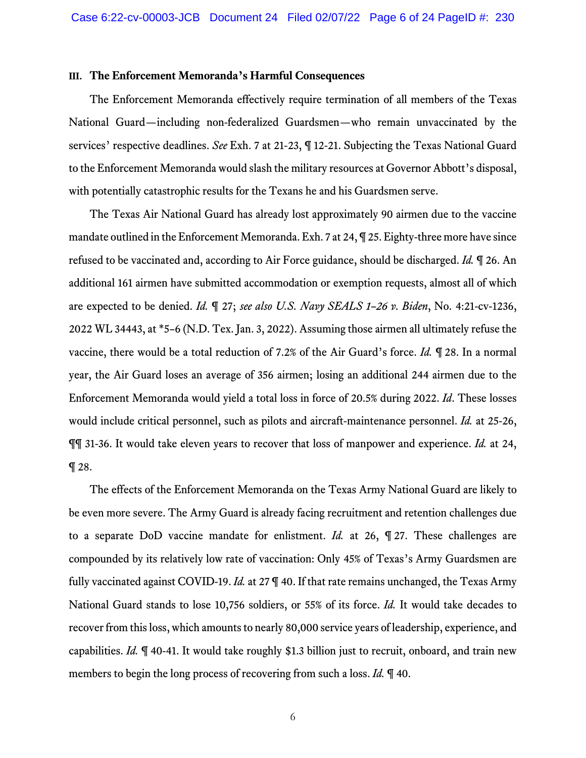#### <span id="page-5-0"></span>**III. The Enforcement Memoranda's Harmful Consequences**

The Enforcement Memoranda effectively require termination of all members of the Texas National Guard—including non-federalized Guardsmen—who remain unvaccinated by the services' respective deadlines. *See* Exh. 7 at 21-23, ¶ 12-21. Subjecting the Texas National Guard to the Enforcement Memoranda would slash the military resources at Governor Abbott's disposal, with potentially catastrophic results for the Texans he and his Guardsmen serve.

The Texas Air National Guard has already lost approximately 90 airmen due to the vaccine mandate outlined in the Enforcement Memoranda. Exh. 7 at 24, ¶ 25. Eighty-three more have since refused to be vaccinated and, according to Air Force guidance, should be discharged. *Id.* ¶ 26. An additional 161 airmen have submitted accommodation or exemption requests, almost all of which are expected to be denied. *Id.* ¶ 27; *see also U.S. Navy SEALS 1–26 v. Biden*, No. 4:21-cv-1236, 2022 WL 34443, at \*5–6 (N.D. Tex. Jan. 3, 2022). Assuming those airmen all ultimately refuse the vaccine, there would be a total reduction of 7.2% of the Air Guard's force. *Id.* ¶ 28. In a normal year, the Air Guard loses an average of 356 airmen; losing an additional 244 airmen due to the Enforcement Memoranda would yield a total loss in force of 20.5% during 2022. *Id*. These losses would include critical personnel, such as pilots and aircraft-maintenance personnel. *Id.* at 25-26, ¶¶ 31-36. It would take eleven years to recover that loss of manpower and experience. *Id.* at 24,  $\P$  28.

The effects of the Enforcement Memoranda on the Texas Army National Guard are likely to be even more severe. The Army Guard is already facing recruitment and retention challenges due to a separate DoD vaccine mandate for enlistment. *Id.* at 26, ¶ 27. These challenges are compounded by its relatively low rate of vaccination: Only 45% of Texas's Army Guardsmen are fully vaccinated against COVID-19. *Id.* at 27 ¶ 40. If that rate remains unchanged, the Texas Army National Guard stands to lose 10,756 soldiers, or 55% of its force. *Id.* It would take decades to recover from this loss, which amounts to nearly 80,000 service years of leadership, experience, and capabilities. *Id.* ¶ 40-41. It would take roughly \$1.3 billion just to recruit, onboard, and train new members to begin the long process of recovering from such a loss. *Id.* ¶ 40.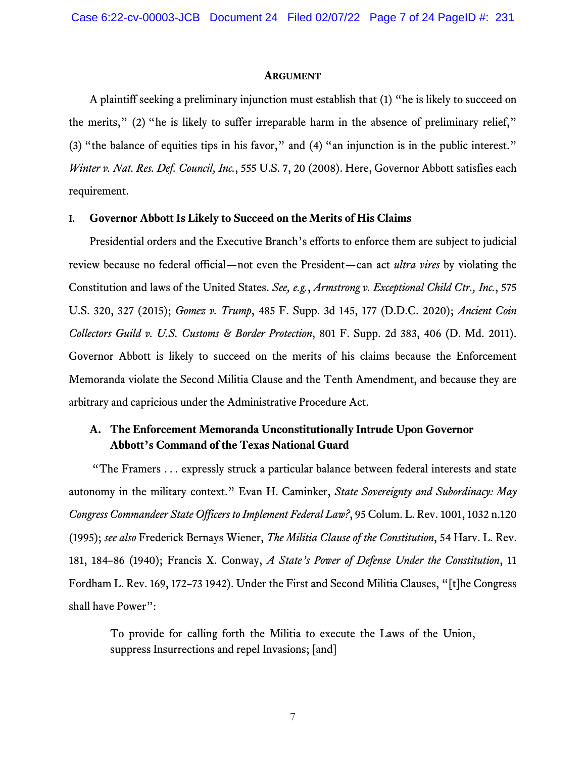#### **ARGUMENT**

A plaintiff seeking a preliminary injunction must establish that (1) "he is likely to succeed on the merits," (2) "he is likely to suffer irreparable harm in the absence of preliminary relief," (3) "the balance of equities tips in his favor," and (4) "an injunction is in the public interest." *Winter v. Nat. Res. Def. Council, Inc.*, 555 U.S. 7, 20 (2008). Here, Governor Abbott satisfies each requirement.

### <span id="page-6-0"></span>**I. Governor Abbott Is Likely to Succeed on the Merits of His Claims**

Presidential orders and the Executive Branch's efforts to enforce them are subject to judicial review because no federal official—not even the President—can act *ultra vires* by violating the Constitution and laws of the United States. *See, e.g.*, *Armstrong v. Exceptional Child Ctr., Inc.*, 575 U.S. 320, 327 (2015); *Gomez v. Trump*, 485 F. Supp. 3d 145, 177 (D.D.C. 2020); *Ancient Coin Collectors Guild v. U.S. Customs & Border Protection*, 801 F. Supp. 2d 383, 406 (D. Md. 2011). Governor Abbott is likely to succeed on the merits of his claims because the Enforcement Memoranda violate the Second Militia Clause and the Tenth Amendment, and because they are arbitrary and capricious under the Administrative Procedure Act.

# **A. The Enforcement Memoranda Unconstitutionally Intrude Upon Governor Abbott's Command of the Texas National Guard**

"The Framers . . . expressly struck a particular balance between federal interests and state autonomy in the military context." Evan H. Caminker, *State Sovereignty and Subordinacy: May Congress Commandeer State Officers to Implement Federal Law?*, 95 Colum. L. Rev. 1001, 1032 n.120 (1995); *see also* Frederick Bernays Wiener, *The Militia Clause of the Constitution*, 54 Harv. L. Rev. 181, 184–86 (1940); Francis X. Conway, *A State's Power of Defense Under the Constitution*, 11 Fordham L. Rev. 169, 172–73 1942). Under the First and Second Militia Clauses, "[t]he Congress shall have Power":

To provide for calling forth the Militia to execute the Laws of the Union, suppress Insurrections and repel Invasions; [and]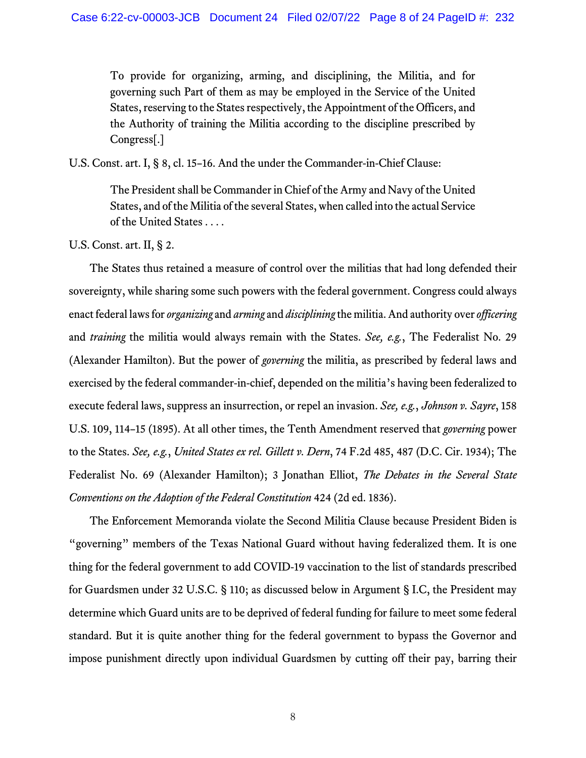To provide for organizing, arming, and disciplining, the Militia, and for governing such Part of them as may be employed in the Service of the United States, reserving to the States respectively, the Appointment of the Officers, and the Authority of training the Militia according to the discipline prescribed by Congress[.]

U.S. Const. art. I, § 8, cl. 15–16. And the under the Commander-in-Chief Clause:

The President shall be Commander in Chief of the Army and Navy of the United States, and of the Militia of the several States, when called into the actual Service of the United States . . . .

U.S. Const. art. II, § 2.

The States thus retained a measure of control over the militias that had long defended their sovereignty, while sharing some such powers with the federal government. Congress could always enact federal laws for *organizing* and *arming* and *disciplining* the militia. And authority over *officering* and *training* the militia would always remain with the States. *See, e.g.*, The Federalist No. 29 (Alexander Hamilton). But the power of *governing* the militia, as prescribed by federal laws and exercised by the federal commander-in-chief, depended on the militia's having been federalized to execute federal laws, suppress an insurrection, or repel an invasion. *See, e.g.*, *Johnson v. Sayre*, 158 U.S. 109, 114–15 (1895). At all other times, the Tenth Amendment reserved that *governing* power to the States. *See, e.g.*, *United States ex rel. Gillett v. Dern*, 74 F.2d 485, 487 (D.C. Cir. 1934); The Federalist No. 69 (Alexander Hamilton); 3 Jonathan Elliot, *The Debates in the Several State Conventions on the Adoption of the Federal Constitution* 424 (2d ed. 1836).

The Enforcement Memoranda violate the Second Militia Clause because President Biden is "governing" members of the Texas National Guard without having federalized them. It is one thing for the federal government to add COVID-19 vaccination to the list of standards prescribed for Guardsmen under 32 U.S.C. § 110; as discussed below in Argument § [I.C,](#page-11-0) the President may determine which Guard units are to be deprived of federal funding for failure to meet some federal standard. But it is quite another thing for the federal government to bypass the Governor and impose punishment directly upon individual Guardsmen by cutting off their pay, barring their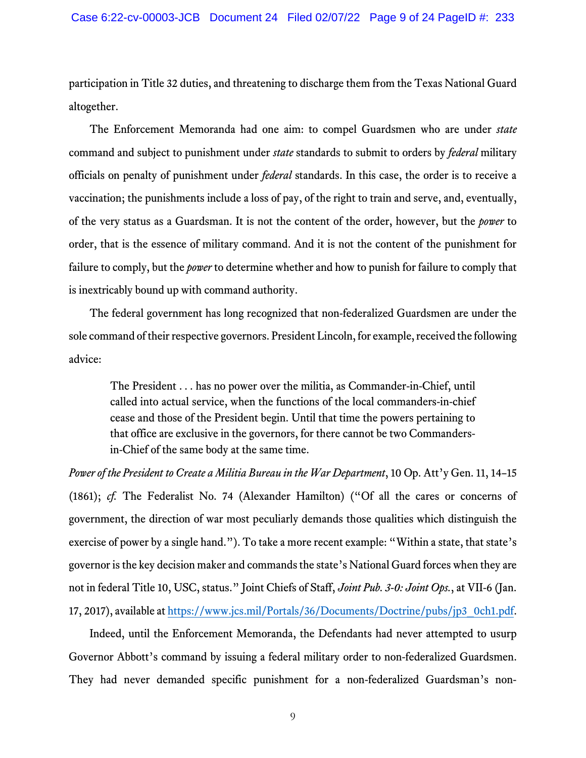participation in Title 32 duties, and threatening to discharge them from the Texas National Guard altogether.

The Enforcement Memoranda had one aim: to compel Guardsmen who are under *state*  command and subject to punishment under *state* standards to submit to orders by *federal* military officials on penalty of punishment under *federal* standards. In this case, the order is to receive a vaccination; the punishments include a loss of pay, of the right to train and serve, and, eventually, of the very status as a Guardsman. It is not the content of the order, however, but the *power* to order, that is the essence of military command. And it is not the content of the punishment for failure to comply, but the *power* to determine whether and how to punish for failure to comply that is inextricably bound up with command authority.

The federal government has long recognized that non-federalized Guardsmen are under the sole command of their respective governors. President Lincoln, for example, received the following advice:

The President . . . has no power over the militia, as Commander-in-Chief, until called into actual service, when the functions of the local commanders-in-chief cease and those of the President begin. Until that time the powers pertaining to that office are exclusive in the governors, for there cannot be two Commandersin-Chief of the same body at the same time.

*Power of the President to Create a Militia Bureau in the War Department*, 10 Op. Att'y Gen. 11, 14–15 (1861); *cf.* The Federalist No. 74 (Alexander Hamilton) ("Of all the cares or concerns of government, the direction of war most peculiarly demands those qualities which distinguish the exercise of power by a single hand."). To take a more recent example: "Within a state, that state's governor is the key decision maker and commands the state's National Guard forces when they are not in federal Title 10, USC, status." Joint Chiefs of Staff, *Joint Pub. 3-0: Joint Ops.*, at VII-6 (Jan. 17, 2017), available at [https://www.jcs.mil/Portals/36/Documents/Doctrine/pubs/jp3\\_0ch1.pdf.](https://www.jcs.mil/%E2%80%8CPortals/%E2%80%8C36/%E2%80%8CDocuments/%E2%80%8CDoctrine/%E2%80%8Cpubs/%E2%80%8Cjp3_0ch1.pdf)

Indeed, until the Enforcement Memoranda, the Defendants had never attempted to usurp Governor Abbott's command by issuing a federal military order to non-federalized Guardsmen. They had never demanded specific punishment for a non-federalized Guardsman's non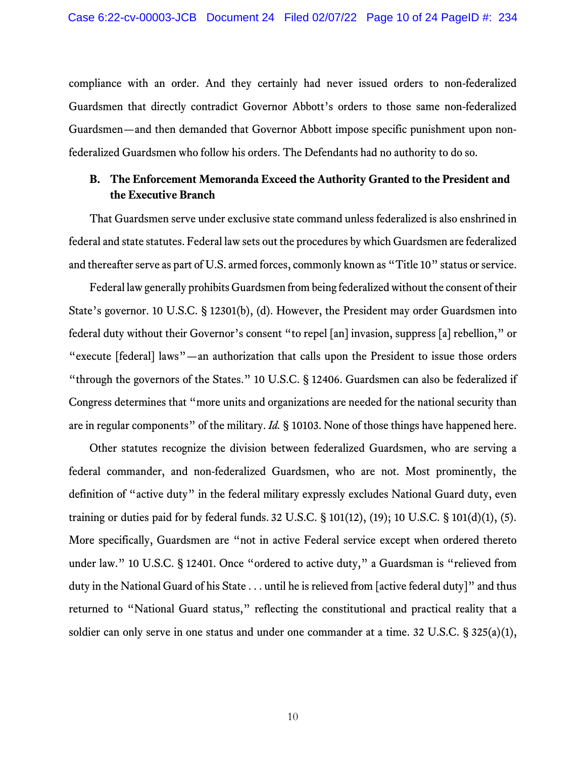compliance with an order. And they certainly had never issued orders to non-federalized Guardsmen that directly contradict Governor Abbott's orders to those same non-federalized Guardsmen—and then demanded that Governor Abbott impose specific punishment upon nonfederalized Guardsmen who follow his orders. The Defendants had no authority to do so.

# **B. The Enforcement Memoranda Exceed the Authority Granted to the President and the Executive Branch**

That Guardsmen serve under exclusive state command unless federalized is also enshrined in federal and state statutes. Federal law sets out the procedures by which Guardsmen are federalized and thereafter serve as part of U.S. armed forces, commonly known as "Title 10" status or service.

Federal law generally prohibits Guardsmen from being federalized without the consent of their State's governor. 10 U.S.C. § 12301(b), (d). However, the President may order Guardsmen into federal duty without their Governor's consent "to repel [an] invasion, suppress [a] rebellion," or "execute [federal] laws"—an authorization that calls upon the President to issue those orders "through the governors of the States." 10 U.S.C. § 12406. Guardsmen can also be federalized if Congress determines that "more units and organizations are needed for the national security than are in regular components" of the military. *Id.* § 10103. None of those things have happened here.

Other statutes recognize the division between federalized Guardsmen, who are serving a federal commander, and non-federalized Guardsmen, who are not. Most prominently, the definition of "active duty" in the federal military expressly excludes National Guard duty, even training or duties paid for by federal funds. 32 U.S.C. § 101(12), (19); 10 U.S.C. § 101(d)(1), (5). More specifically, Guardsmen are "not in active Federal service except when ordered thereto under law." 10 U.S.C. § 12401. Once "ordered to active duty," a Guardsman is "relieved from duty in the National Guard of his State . . . until he is relieved from [active federal duty]" and thus returned to "National Guard status," reflecting the constitutional and practical reality that a soldier can only serve in one status and under one commander at a time. 32 U.S.C. § 325(a)(1),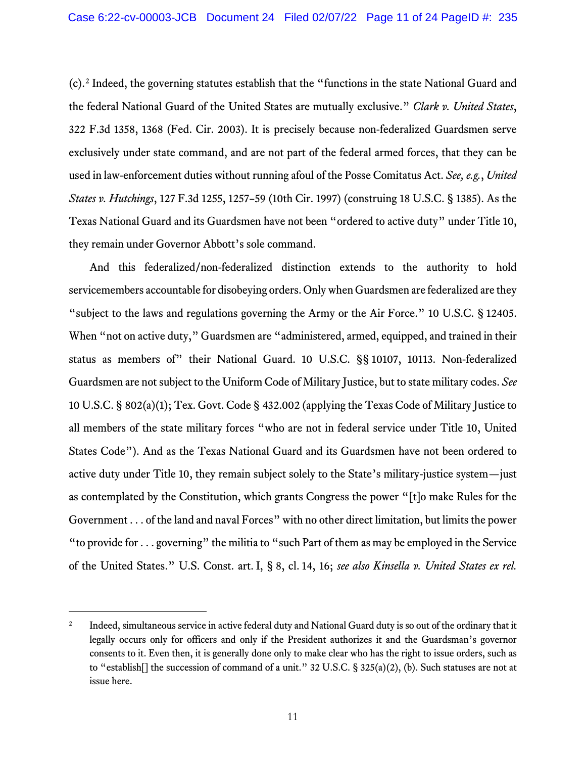(c).[2](#page-10-0) Indeed, the governing statutes establish that the "functions in the state National Guard and the federal National Guard of the United States are mutually exclusive." *Clark v. United States*, 322 F.3d 1358, 1368 (Fed. Cir. 2003). It is precisely because non-federalized Guardsmen serve exclusively under state command, and are not part of the federal armed forces, that they can be used in law-enforcement duties without running afoul of the Posse Comitatus Act. *See, e.g.*, *United States v. Hutchings*, 127 F.3d 1255, 1257–59 (10th Cir. 1997) (construing 18 U.S.C. § 1385). As the Texas National Guard and its Guardsmen have not been "ordered to active duty" under Title 10, they remain under Governor Abbott's sole command.

And this federalized/non-federalized distinction extends to the authority to hold servicemembers accountable for disobeying orders. Only when Guardsmen are federalized are they "subject to the laws and regulations governing the Army or the Air Force." 10 U.S.C. § 12405. When "not on active duty," Guardsmen are "administered, armed, equipped, and trained in their status as members of" their National Guard. 10 U.S.C. §§ 10107, 10113. Non-federalized Guardsmen are not subject to the Uniform Code of Military Justice, but to state military codes. *See*  10 U.S.C. § 802(a)(1); Tex. Govt. Code § 432.002 (applying the Texas Code of Military Justice to all members of the state military forces "who are not in federal service under Title 10, United States Code"). And as the Texas National Guard and its Guardsmen have not been ordered to active duty under Title 10, they remain subject solely to the State's military-justice system—just as contemplated by the Constitution, which grants Congress the power "[t]o make Rules for the Government . . . of the land and naval Forces" with no other direct limitation, but limits the power "to provide for . . . governing" the militia to "such Part of them as may be employed in the Service of the United States." U.S. Const. art. I, § 8, cl. 14, 16; *see also Kinsella v. United States ex rel.* 

<span id="page-10-0"></span><sup>&</sup>lt;sup>2</sup> Indeed, simultaneous service in active federal duty and National Guard duty is so out of the ordinary that it legally occurs only for officers and only if the President authorizes it and the Guardsman's governor consents to it. Even then, it is generally done only to make clear who has the right to issue orders, such as to "establish[] the succession of command of a unit." 32 U.S.C. § 325(a)(2), (b). Such statuses are not at issue here.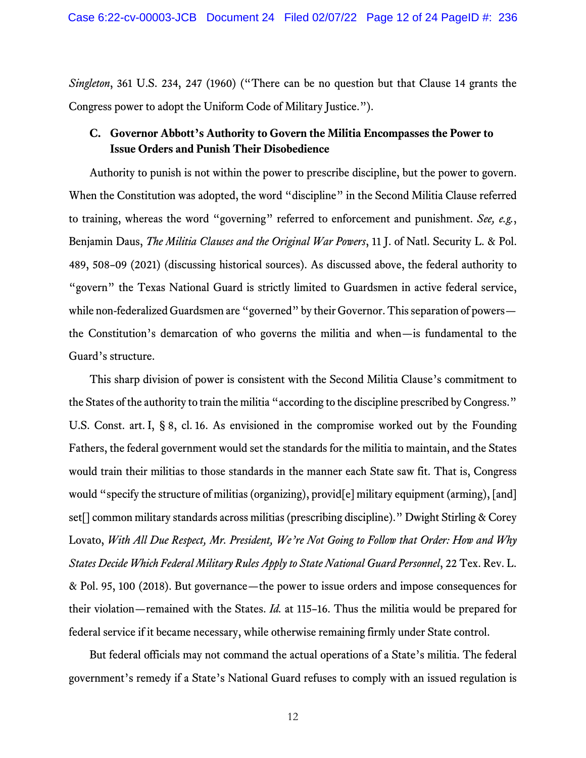*Singleton*, 361 U.S. 234, 247 (1960) ("There can be no question but that Clause 14 grants the Congress power to adopt the Uniform Code of Military Justice.").

# <span id="page-11-0"></span>**C. Governor Abbott's Authority to Govern the Militia Encompasses the Power to Issue Orders and Punish Their Disobedience**

Authority to punish is not within the power to prescribe discipline, but the power to govern. When the Constitution was adopted, the word "discipline" in the Second Militia Clause referred to training, whereas the word "governing" referred to enforcement and punishment. *See, e.g.*, Benjamin Daus, *The Militia Clauses and the Original War Powers*, 11 J. of Natl. Security L. & Pol. 489, 508–09 (2021) (discussing historical sources). As discussed above, the federal authority to "govern" the Texas National Guard is strictly limited to Guardsmen in active federal service, while non-federalized Guardsmen are "governed" by their Governor. This separation of powers the Constitution's demarcation of who governs the militia and when—is fundamental to the Guard's structure.

This sharp division of power is consistent with the Second Militia Clause's commitment to the States of the authority to train the militia "according to the discipline prescribed by Congress." U.S. Const. art. I, § 8, cl. 16. As envisioned in the compromise worked out by the Founding Fathers, the federal government would set the standards for the militia to maintain, and the States would train their militias to those standards in the manner each State saw fit. That is, Congress would "specify the structure of militias (organizing), provid[e] military equipment (arming), [and] set[] common military standards across militias (prescribing discipline)." Dwight Stirling & Corey Lovato, *With All Due Respect, Mr. President, We're Not Going to Follow that Order: How and Why States Decide Which Federal Military Rules Apply to State National Guard Personnel*, 22 Tex. Rev. L. & Pol. 95, 100 (2018). But governance—the power to issue orders and impose consequences for their violation—remained with the States. *Id.* at 115–16. Thus the militia would be prepared for federal service if it became necessary, while otherwise remaining firmly under State control.

But federal officials may not command the actual operations of a State's militia. The federal government's remedy if a State's National Guard refuses to comply with an issued regulation is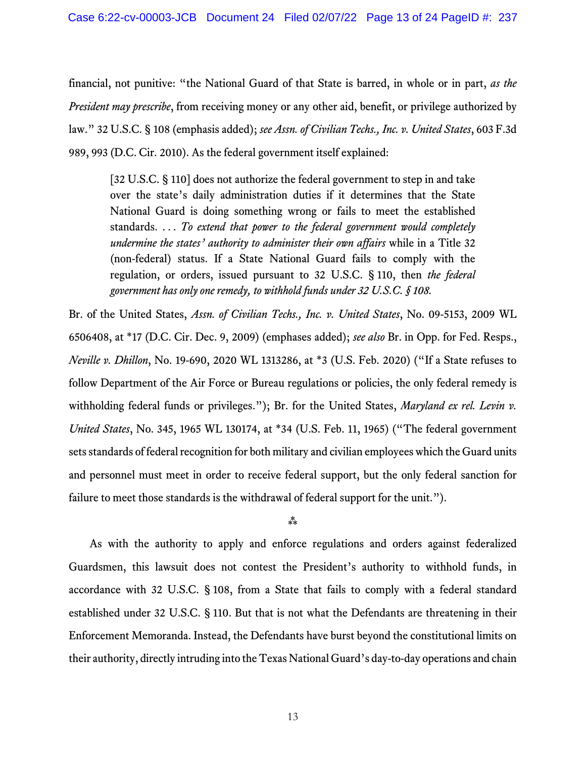financial, not punitive: "the National Guard of that State is barred, in whole or in part, *as the President may prescribe*, from receiving money or any other aid, benefit, or privilege authorized by law." 32 U.S.C. § 108 (emphasis added); *see Assn.of Civilian Techs., Inc. v. United States*, 603 F.3d 989, 993 (D.C. Cir. 2010). As the federal government itself explained:

[32 U.S.C. § 110] does not authorize the federal government to step in and take over the state's daily administration duties if it determines that the State National Guard is doing something wrong or fails to meet the established standards. . . . *To extend that power to the federal government would completely undermine the states' authority to administer their own affairs* while in a Title 32 (non-federal) status. If a State National Guard fails to comply with the regulation, or orders, issued pursuant to 32 U.S.C. § 110, then *the federal government has only one remedy, to withhold funds under 32 U.S.C. § 108.*

Br. of the United States, *Assn. of Civilian Techs., Inc. v. United States*, No. 09-5153, 2009 WL 6506408, at \*17 (D.C. Cir. Dec. 9, 2009) (emphases added); *see also* Br. in Opp. for Fed. Resps., *Neville v. Dhillon*, No. 19-690, 2020 WL 1313286, at \*3 (U.S. Feb. 2020) ("If a State refuses to follow Department of the Air Force or Bureau regulations or policies, the only federal remedy is withholding federal funds or privileges."); Br. for the United States, *Maryland ex rel. Levin v. United States*, No. 345, 1965 WL 130174, at \*34 (U.S. Feb. 11, 1965) ("The federal government sets standards of federal recognition for both military and civilian employees which the Guard units and personnel must meet in order to receive federal support, but the only federal sanction for failure to meet those standards is the withdrawal of federal support for the unit.").

### $***$

As with the authority to apply and enforce regulations and orders against federalized Guardsmen, this lawsuit does not contest the President's authority to withhold funds, in accordance with 32 U.S.C. § 108, from a State that fails to comply with a federal standard established under 32 U.S.C. § 110. But that is not what the Defendants are threatening in their Enforcement Memoranda. Instead, the Defendants have burst beyond the constitutional limits on their authority, directly intruding into the Texas National Guard's day-to-day operations and chain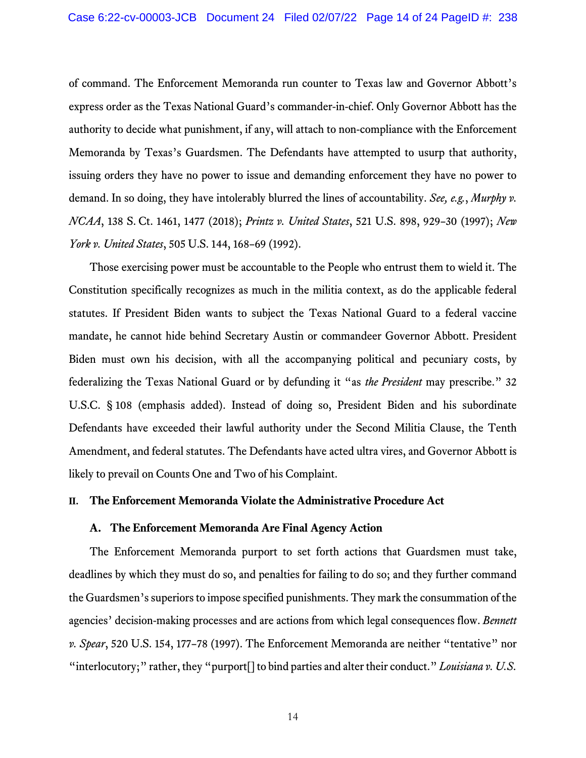of command. The Enforcement Memoranda run counter to Texas law and Governor Abbott's express order as the Texas National Guard's commander-in-chief. Only Governor Abbott has the authority to decide what punishment, if any, will attach to non-compliance with the Enforcement Memoranda by Texas's Guardsmen. The Defendants have attempted to usurp that authority, issuing orders they have no power to issue and demanding enforcement they have no power to demand. In so doing, they have intolerably blurred the lines of accountability. *See, e.g.*, *Murphy v. NCAA*, 138 S. Ct. 1461, 1477 (2018); *Printz v. United States*, 521 U.S. 898, 929–30 (1997); *New York v. United States*, 505 U.S. 144, 168–69 (1992).

Those exercising power must be accountable to the People who entrust them to wield it. The Constitution specifically recognizes as much in the militia context, as do the applicable federal statutes. If President Biden wants to subject the Texas National Guard to a federal vaccine mandate, he cannot hide behind Secretary Austin or commandeer Governor Abbott. President Biden must own his decision, with all the accompanying political and pecuniary costs, by federalizing the Texas National Guard or by defunding it "as *the President* may prescribe." 32 U.S.C. § 108 (emphasis added). Instead of doing so, President Biden and his subordinate Defendants have exceeded their lawful authority under the Second Militia Clause, the Tenth Amendment, and federal statutes. The Defendants have acted ultra vires, and Governor Abbott is likely to prevail on Counts One and Two of his Complaint.

## **II. The Enforcement Memoranda Violate the Administrative Procedure Act**

### **A. The Enforcement Memoranda Are Final Agency Action**

The Enforcement Memoranda purport to set forth actions that Guardsmen must take, deadlines by which they must do so, and penalties for failing to do so; and they further command the Guardsmen's superiors to impose specified punishments. They mark the consummation of the agencies' decision-making processes and are actions from which legal consequences flow. *Bennett v. Spear*, 520 U.S. 154, 177–78 (1997). The Enforcement Memoranda are neither "tentative" nor "interlocutory;" rather, they "purport[] to bind parties and alter their conduct." *Louisiana v. U.S.*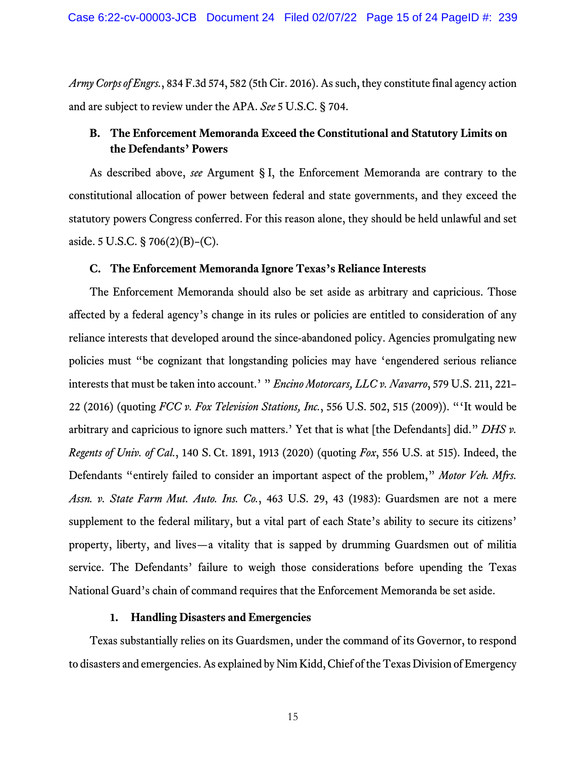*Army Corps of Engrs.*, 834 F.3d 574, 582 (5th Cir. 2016). As such, they constitute final agency action and are subject to review under the APA. *See* 5 U.S.C. § 704.

# **B. The Enforcement Memoranda Exceed the Constitutional and Statutory Limits on the Defendants' Powers**

As described above, *see* Argument § [I,](#page-6-0) the Enforcement Memoranda are contrary to the constitutional allocation of power between federal and state governments, and they exceed the statutory powers Congress conferred. For this reason alone, they should be held unlawful and set aside. 5 U.S.C. § 706(2)(B)–(C).

### <span id="page-14-0"></span>**C. The Enforcement Memoranda Ignore Texas's Reliance Interests**

The Enforcement Memoranda should also be set aside as arbitrary and capricious. Those affected by a federal agency's change in its rules or policies are entitled to consideration of any reliance interests that developed around the since-abandoned policy. Agencies promulgating new policies must "be cognizant that longstanding policies may have 'engendered serious reliance interests that must be taken into account.' " *Encino Motorcars, LLC v. Navarro*, 579 U.S. 211, 221– 22 (2016) (quoting *FCC v. Fox Television Stations, Inc.*, 556 U.S. 502, 515 (2009)). "'It would be arbitrary and capricious to ignore such matters.' Yet that is what [the Defendants] did." *DHS v. Regents of Univ. of Cal.*, 140 S. Ct. 1891, 1913 (2020) (quoting *Fox*, 556 U.S. at 515). Indeed, the Defendants "entirely failed to consider an important aspect of the problem," *Motor Veh. Mfrs. Assn. v. State Farm Mut. Auto. Ins. Co.*, 463 U.S. 29, 43 (1983): Guardsmen are not a mere supplement to the federal military, but a vital part of each State's ability to secure its citizens' property, liberty, and lives—a vitality that is sapped by drumming Guardsmen out of militia service. The Defendants' failure to weigh those considerations before upending the Texas National Guard's chain of command requires that the Enforcement Memoranda be set aside.

## **1. Handling Disasters and Emergencies**

Texas substantially relies on its Guardsmen, under the command of its Governor, to respond to disasters and emergencies. As explained by Nim Kidd, Chief of the Texas Division of Emergency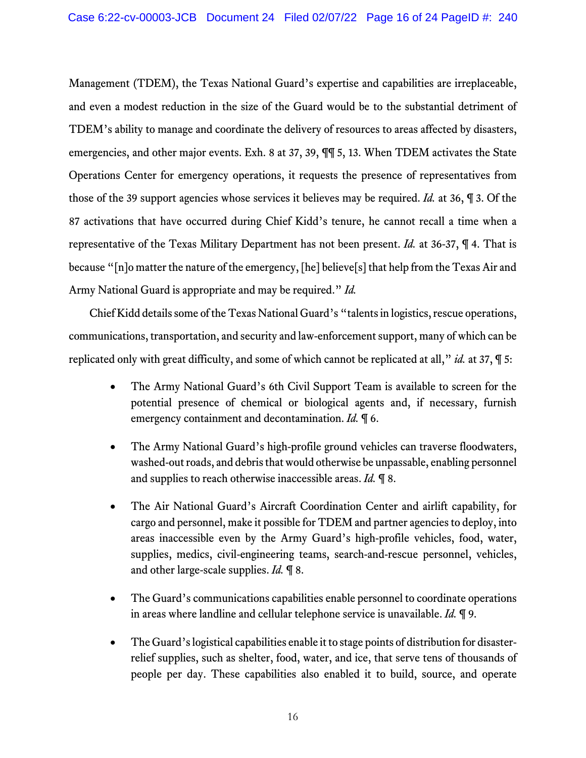Management (TDEM), the Texas National Guard's expertise and capabilities are irreplaceable, and even a modest reduction in the size of the Guard would be to the substantial detriment of TDEM's ability to manage and coordinate the delivery of resources to areas affected by disasters, emergencies, and other major events. Exh. 8 at 37, 39, ¶¶ 5, 13. When TDEM activates the State Operations Center for emergency operations, it requests the presence of representatives from those of the 39 support agencies whose services it believes may be required. *Id.* at 36, ¶ 3. Of the 87 activations that have occurred during Chief Kidd's tenure, he cannot recall a time when a representative of the Texas Military Department has not been present. *Id.* at 36-37, ¶ 4. That is because "[n]o matter the nature of the emergency, [he] believe[s] that help from the Texas Air and Army National Guard is appropriate and may be required." *Id.*

Chief Kidd details some of the Texas National Guard's "talents in logistics, rescue operations, communications, transportation, and security and law-enforcement support, many of which can be replicated only with great difficulty, and some of which cannot be replicated at all," *id.* at 37, ¶ 5:

- The Army National Guard's 6th Civil Support Team is available to screen for the potential presence of chemical or biological agents and, if necessary, furnish emergency containment and decontamination. *Id.* ¶ 6.
- The Army National Guard's high-profile ground vehicles can traverse floodwaters, washed-out roads, and debris that would otherwise be unpassable, enabling personnel and supplies to reach otherwise inaccessible areas. *Id.* ¶ 8.
- The Air National Guard's Aircraft Coordination Center and airlift capability, for cargo and personnel, make it possible for TDEM and partner agencies to deploy, into areas inaccessible even by the Army Guard's high-profile vehicles, food, water, supplies, medics, civil-engineering teams, search-and-rescue personnel, vehicles, and other large-scale supplies. *Id.* ¶ 8.
- The Guard's communications capabilities enable personnel to coordinate operations in areas where landline and cellular telephone service is unavailable. *Id.* ¶ 9.
- The Guard's logistical capabilities enable it to stage points of distribution for disasterrelief supplies, such as shelter, food, water, and ice, that serve tens of thousands of people per day. These capabilities also enabled it to build, source, and operate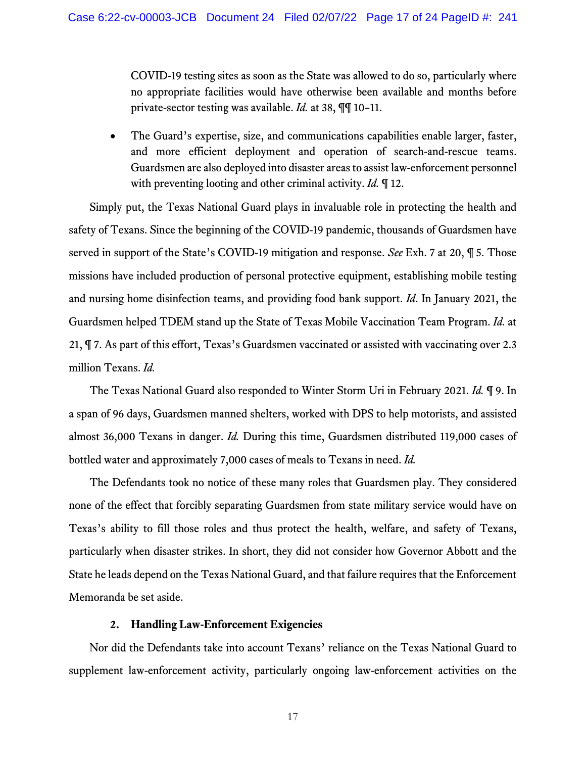COVID-19 testing sites as soon as the State was allowed to do so, particularly where no appropriate facilities would have otherwise been available and months before private-sector testing was available. *Id.* at 38, ¶¶ 10–11.

• The Guard's expertise, size, and communications capabilities enable larger, faster, and more efficient deployment and operation of search-and-rescue teams. Guardsmen are also deployed into disaster areas to assist law-enforcement personnel with preventing looting and other criminal activity. *Id.* ¶ 12.

Simply put, the Texas National Guard plays in invaluable role in protecting the health and safety of Texans. Since the beginning of the COVID-19 pandemic, thousands of Guardsmen have served in support of the State's COVID-19 mitigation and response. *See* Exh. 7 at 20, ¶ 5. Those missions have included production of personal protective equipment, establishing mobile testing and nursing home disinfection teams, and providing food bank support. *Id*. In January 2021, the Guardsmen helped TDEM stand up the State of Texas Mobile Vaccination Team Program. *Id.* at 21, ¶ 7. As part of this effort, Texas's Guardsmen vaccinated or assisted with vaccinating over 2.3 million Texans. *Id.*

The Texas National Guard also responded to Winter Storm Uri in February 2021. *Id.* ¶ 9. In a span of 96 days, Guardsmen manned shelters, worked with DPS to help motorists, and assisted almost 36,000 Texans in danger. *Id.* During this time, Guardsmen distributed 119,000 cases of bottled water and approximately 7,000 cases of meals to Texans in need. *Id.*

The Defendants took no notice of these many roles that Guardsmen play. They considered none of the effect that forcibly separating Guardsmen from state military service would have on Texas's ability to fill those roles and thus protect the health, welfare, and safety of Texans, particularly when disaster strikes. In short, they did not consider how Governor Abbott and the State he leads depend on the Texas National Guard, and that failure requires that the Enforcement Memoranda be set aside.

### **2. Handling Law-Enforcement Exigencies**

<span id="page-16-0"></span>Nor did the Defendants take into account Texans' reliance on the Texas National Guard to supplement law-enforcement activity, particularly ongoing law-enforcement activities on the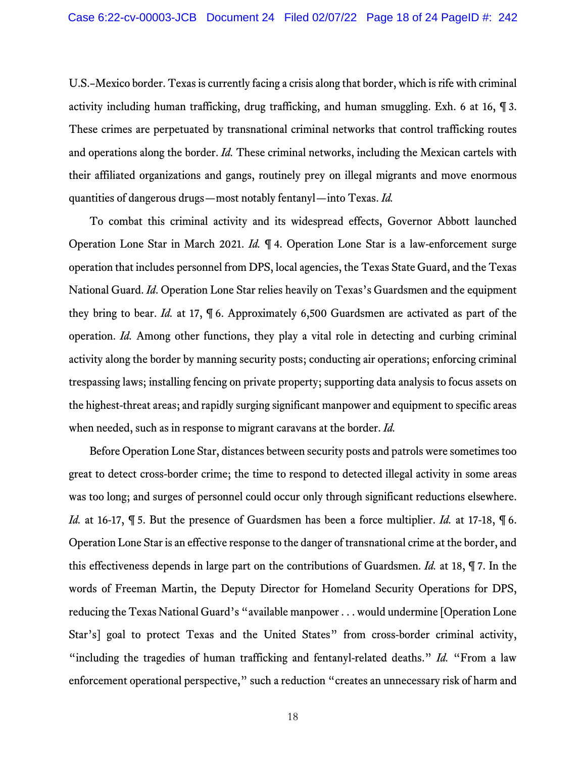U.S.–Mexico border. Texas is currently facing a crisis along that border, which is rife with criminal activity including human trafficking, drug trafficking, and human smuggling. Exh. 6 at 16, ¶ 3. These crimes are perpetuated by transnational criminal networks that control trafficking routes and operations along the border. *Id.* These criminal networks, including the Mexican cartels with their affiliated organizations and gangs, routinely prey on illegal migrants and move enormous quantities of dangerous drugs—most notably fentanyl—into Texas. *Id.*

To combat this criminal activity and its widespread effects, Governor Abbott launched Operation Lone Star in March 2021. *Id.* ¶ 4. Operation Lone Star is a law-enforcement surge operation that includes personnel from DPS, local agencies, the Texas State Guard, and the Texas National Guard. *Id*. Operation Lone Star relies heavily on Texas's Guardsmen and the equipment they bring to bear. *Id.* at 17, ¶ 6. Approximately 6,500 Guardsmen are activated as part of the operation. *Id.* Among other functions, they play a vital role in detecting and curbing criminal activity along the border by manning security posts; conducting air operations; enforcing criminal trespassing laws; installing fencing on private property; supporting data analysis to focus assets on the highest-threat areas; and rapidly surging significant manpower and equipment to specific areas when needed, such as in response to migrant caravans at the border. *Id.*

Before Operation Lone Star, distances between security posts and patrols were sometimes too great to detect cross-border crime; the time to respond to detected illegal activity in some areas was too long; and surges of personnel could occur only through significant reductions elsewhere. *Id.* at 16-17, ¶ 5. But the presence of Guardsmen has been a force multiplier. *Id.* at 17-18, ¶ 6. Operation Lone Star is an effective response to the danger of transnational crime at the border, and this effectiveness depends in large part on the contributions of Guardsmen. *Id.* at 18, ¶ 7. In the words of Freeman Martin, the Deputy Director for Homeland Security Operations for DPS, reducing the Texas National Guard's "available manpower . . . would undermine [Operation Lone Star's] goal to protect Texas and the United States" from cross-border criminal activity, "including the tragedies of human trafficking and fentanyl-related deaths." *Id.* "From a law enforcement operational perspective," such a reduction "creates an unnecessary risk of harm and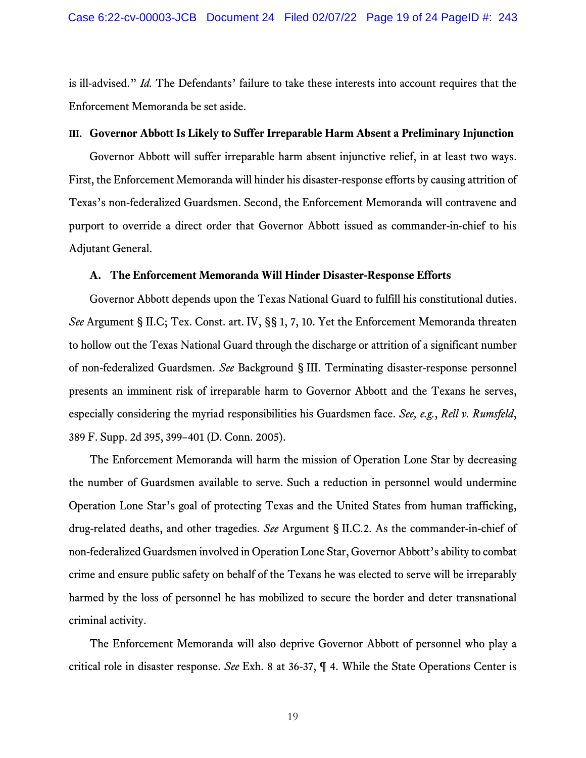is ill-advised." *Id.* The Defendants' failure to take these interests into account requires that the Enforcement Memoranda be set aside.

#### **III. Governor Abbott Is Likely to Suffer Irreparable Harm Absent a Preliminary Injunction**

Governor Abbott will suffer irreparable harm absent injunctive relief, in at least two ways. First, the Enforcement Memoranda will hinder his disaster-response efforts by causing attrition of Texas's non-federalized Guardsmen. Second, the Enforcement Memoranda will contravene and purport to override a direct order that Governor Abbott issued as commander-in-chief to his Adjutant General.

#### **A. The Enforcement Memoranda Will Hinder Disaster-Response Efforts**

Governor Abbott depends upon the Texas National Guard to fulfill his constitutional duties. *See* Argument § [II.C;](#page-14-0) Tex. Const. art. IV, §§ 1, 7, 10. Yet the Enforcement Memoranda threaten to hollow out the Texas National Guard through the discharge or attrition of a significant number of non-federalized Guardsmen. *See* Background § [III.](#page-5-0) Terminating disaster-response personnel presents an imminent risk of irreparable harm to Governor Abbott and the Texans he serves, especially considering the myriad responsibilities his Guardsmen face. *See, e.g.*, *Rell v. Rumsfeld*, 389 F. Supp. 2d 395, 399–401 (D. Conn. 2005).

The Enforcement Memoranda will harm the mission of Operation Lone Star by decreasing the number of Guardsmen available to serve. Such a reduction in personnel would undermine Operation Lone Star's goal of protecting Texas and the United States from human trafficking, drug-related deaths, and other tragedies. *See* Argument § [II.C.2.](#page-16-0) As the commander-in-chief of non-federalized Guardsmen involved in Operation Lone Star, Governor Abbott's ability to combat crime and ensure public safety on behalf of the Texans he was elected to serve will be irreparably harmed by the loss of personnel he has mobilized to secure the border and deter transnational criminal activity.

The Enforcement Memoranda will also deprive Governor Abbott of personnel who play a critical role in disaster response. *See* Exh. 8 at 36-37, ¶ 4. While the State Operations Center is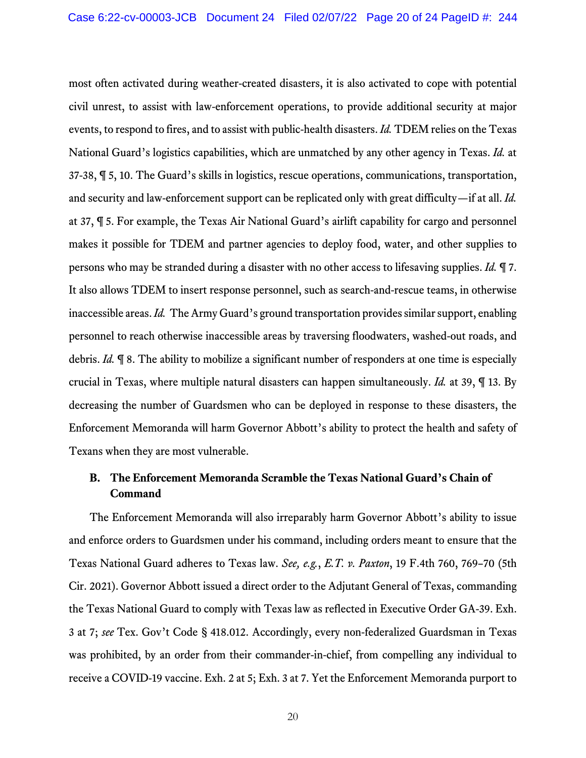most often activated during weather-created disasters, it is also activated to cope with potential civil unrest, to assist with law-enforcement operations, to provide additional security at major events, to respond to fires, and to assist with public-health disasters. *Id.* TDEM relies on the Texas National Guard's logistics capabilities, which are unmatched by any other agency in Texas. *Id.* at 37-38, ¶ 5, 10. The Guard's skills in logistics, rescue operations, communications, transportation, and security and law-enforcement support can be replicated only with great difficulty—if at all. *Id.* at 37, ¶ 5. For example, the Texas Air National Guard's airlift capability for cargo and personnel makes it possible for TDEM and partner agencies to deploy food, water, and other supplies to persons who may be stranded during a disaster with no other access to lifesaving supplies. *Id.* ¶ 7. It also allows TDEM to insert response personnel, such as search-and-rescue teams, in otherwise inaccessible areas. *Id.* The Army Guard's ground transportation provides similar support, enabling personnel to reach otherwise inaccessible areas by traversing floodwaters, washed-out roads, and debris. *Id.* ¶ 8. The ability to mobilize a significant number of responders at one time is especially crucial in Texas, where multiple natural disasters can happen simultaneously. *Id.* at 39, ¶ 13. By decreasing the number of Guardsmen who can be deployed in response to these disasters, the Enforcement Memoranda will harm Governor Abbott's ability to protect the health and safety of Texans when they are most vulnerable.

## **B. The Enforcement Memoranda Scramble the Texas National Guard's Chain of Command**

The Enforcement Memoranda will also irreparably harm Governor Abbott's ability to issue and enforce orders to Guardsmen under his command, including orders meant to ensure that the Texas National Guard adheres to Texas law. *See, e.g.*, *E.T. v. Paxton*, 19 F.4th 760, 769–70 (5th Cir. 2021). Governor Abbott issued a direct order to the Adjutant General of Texas, commanding the Texas National Guard to comply with Texas law as reflected in Executive Order GA-39. Exh. 3 at 7; *see* Tex. Gov't Code § 418.012. Accordingly, every non-federalized Guardsman in Texas was prohibited, by an order from their commander-in-chief, from compelling any individual to receive a COVID-19 vaccine. Exh. 2 at 5; Exh. 3 at 7. Yet the Enforcement Memoranda purport to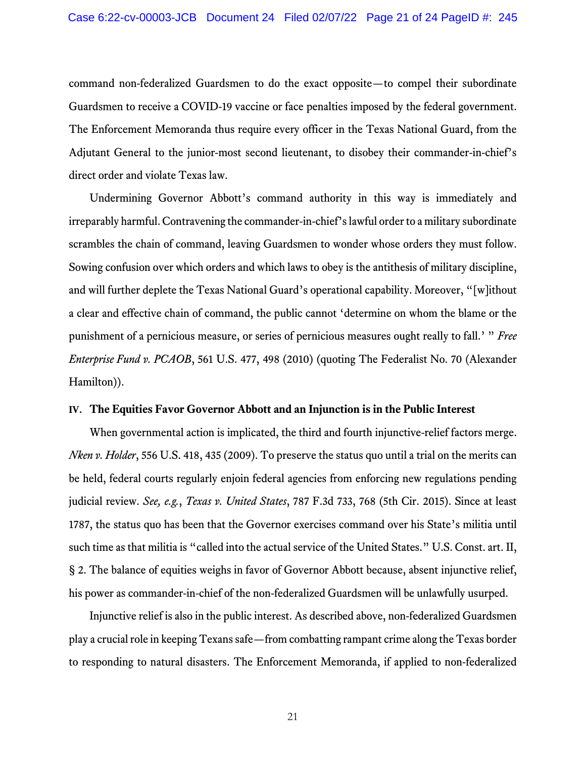command non-federalized Guardsmen to do the exact opposite—to compel their subordinate Guardsmen to receive a COVID-19 vaccine or face penalties imposed by the federal government. The Enforcement Memoranda thus require every officer in the Texas National Guard, from the Adjutant General to the junior-most second lieutenant, to disobey their commander-in-chief's direct order and violate Texas law.

Undermining Governor Abbott's command authority in this way is immediately and irreparably harmful. Contravening the commander-in-chief's lawful order to a military subordinate scrambles the chain of command, leaving Guardsmen to wonder whose orders they must follow. Sowing confusion over which orders and which laws to obey is the antithesis of military discipline, and will further deplete the Texas National Guard's operational capability. Moreover, "[w]ithout a clear and effective chain of command, the public cannot 'determine on whom the blame or the punishment of a pernicious measure, or series of pernicious measures ought really to fall.' " *Free Enterprise Fund v. PCAOB*, 561 U.S. 477, 498 (2010) (quoting The Federalist No. 70 (Alexander Hamilton)).

#### **IV. The Equities Favor Governor Abbott and an Injunction is in the Public Interest**

When governmental action is implicated, the third and fourth injunctive-relief factors merge. *Nken v. Holder*, 556 U.S. 418, 435 (2009). To preserve the status quo until a trial on the merits can be held, federal courts regularly enjoin federal agencies from enforcing new regulations pending judicial review. *See, e.g.*, *Texas v. United States*, 787 F.3d 733, 768 (5th Cir. 2015). Since at least 1787, the status quo has been that the Governor exercises command over his State's militia until such time as that militia is "called into the actual service of the United States." U.S. Const. art. II, § 2. The balance of equities weighs in favor of Governor Abbott because, absent injunctive relief, his power as commander-in-chief of the non-federalized Guardsmen will be unlawfully usurped.

Injunctive relief is also in the public interest. As described above, non-federalized Guardsmen play a crucial role in keeping Texans safe—from combatting rampant crime along the Texas border to responding to natural disasters. The Enforcement Memoranda, if applied to non-federalized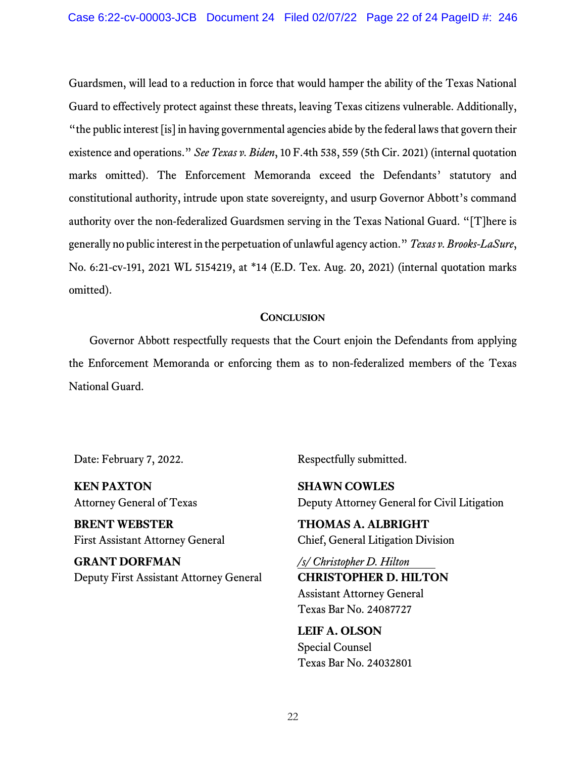Guardsmen, will lead to a reduction in force that would hamper the ability of the Texas National Guard to effectively protect against these threats, leaving Texas citizens vulnerable. Additionally, "the public interest [is] in having governmental agencies abide by the federal laws that govern their existence and operations." *See Texas v. Biden*, 10 F.4th 538, 559 (5th Cir. 2021) (internal quotation marks omitted). The Enforcement Memoranda exceed the Defendants' statutory and constitutional authority, intrude upon state sovereignty, and usurp Governor Abbott's command authority over the non-federalized Guardsmen serving in the Texas National Guard. "[T]here is generally no public interest in the perpetuation of unlawful agency action." *Texas v. Brooks-LaSure*, No. 6:21-cv-191, 2021 WL 5154219, at \*14 (E.D. Tex. Aug. 20, 2021) (internal quotation marks omitted).

### **CONCLUSION**

Governor Abbott respectfully requests that the Court enjoin the Defendants from applying the Enforcement Memoranda or enforcing them as to non-federalized members of the Texas National Guard.

Date: February 7, 2022. Respectfully submitted.

**KEN PAXTON** Attorney General of Texas

**BRENT WEBSTER** First Assistant Attorney General

**GRANT DORFMAN** Deputy First Assistant Attorney General

**SHAWN COWLES** Deputy Attorney General for Civil Litigation

**THOMAS A. ALBRIGHT** Chief, General Litigation Division

*/s/ Christopher D. Hilton* **CHRISTOPHER D. HILTON** Assistant Attorney General Texas Bar No. 24087727

**LEIF A. OLSON** Special Counsel Texas Bar No. 24032801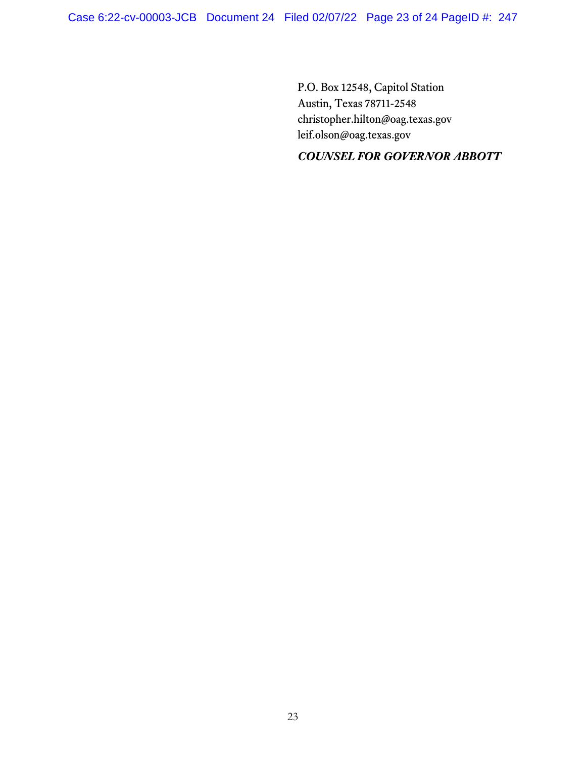P.O. Box 12548, Capitol Station Austin, Texas 78711-2548 christopher.hilton@oag.texas.gov leif.olson@oag.texas.gov

# *COUNSEL FOR GOVERNOR ABBOTT*